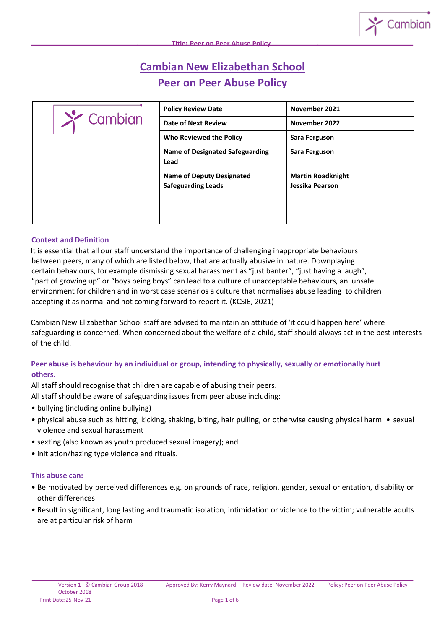# **Cambian New Elizabethan School Peer on Peer Abuse Policy**

| $\sum$ Cambian | <b>Policy Review Date</b>                                     | November 2021                               |
|----------------|---------------------------------------------------------------|---------------------------------------------|
|                | <b>Date of Next Review</b>                                    | November 2022                               |
|                | Who Reviewed the Policy                                       | Sara Ferguson                               |
|                | <b>Name of Designated Safeguarding</b><br>Lead                | Sara Ferguson                               |
|                | <b>Name of Deputy Designated</b><br><b>Safeguarding Leads</b> | <b>Martin Roadknight</b><br>Jessika Pearson |

## **Context and Definition**

It is essential that all our staff understand the importance of challenging inappropriate behaviours between peers, many of which are listed below, that are actually abusive in nature. Downplaying certain behaviours, for example dismissing sexual harassment as "just banter", "just having a laugh", "part of growing up" or "boys being boys" can lead to a culture of unacceptable behaviours, an unsafe environment for children and in worst case scenarios a culture that normalises abuse leading to children accepting it as normal and not coming forward to report it. (KCSIE, 2021)

Cambian New Elizabethan School staff are advised to maintain an attitude of 'it could happen here' where safeguarding is concerned. When concerned about the welfare of a child, staff should always act in the best interests of the child.

## **Peer abuse is behaviour by an individual or group, intending to physically, sexually or emotionally hurt others.**

All staff should recognise that children are capable of abusing their peers.

All staff should be aware of safeguarding issues from peer abuse including:

- bullying (including online bullying)
- physical abuse such as hitting, kicking, shaking, biting, hair pulling, or otherwise causing physical harm sexual violence and sexual harassment
- sexting (also known as youth produced sexual imagery); and
- initiation/hazing type violence and rituals.

#### **This abuse can:**

- Be motivated by perceived differences e.g. on grounds of race, religion, gender, sexual orientation, disability or other differences
- Result in significant, long lasting and traumatic isolation, intimidation or violence to the victim; vulnerable adults are at particular risk of harm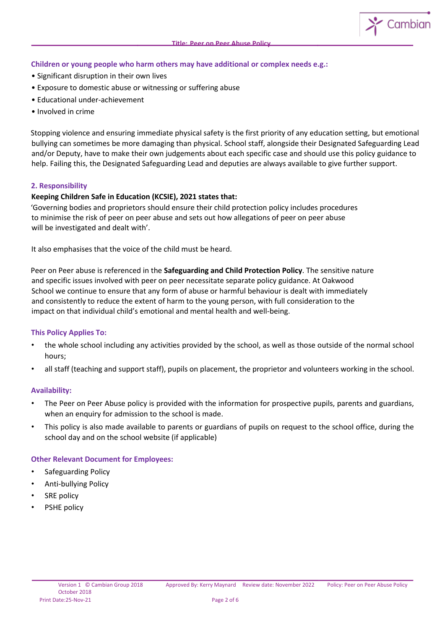## **Children or young people who harm others may have additional or complex needs e.g.:**

- Significant disruption in their own lives
- Exposure to domestic abuse or witnessing or suffering abuse
- Educational under-achievement
- Involved in crime

Stopping violence and ensuring immediate physical safety is the first priority of any education setting, but emotional bullying can sometimes be more damaging than physical. School staff, alongside their Designated Safeguarding Lead and/or Deputy, have to make their own judgements about each specific case and should use this policy guidance to help. Failing this, the Designated Safeguarding Lead and deputies are always available to give further support.

#### **2. Responsibility**

## **Keeping Children Safe in Education (KCSIE), 2021 states that:**

'Governing bodies and proprietors should ensure their child protection policy includes procedures to minimise the risk of peer on peer abuse and sets out how allegations of peer on peer abuse will be investigated and dealt with'.

It also emphasises that the voice of the child must be heard.

Peer on Peer abuse is referenced in the **Safeguarding and Child Protection Policy**. The sensitive nature and specific issues involved with peer on peer necessitate separate policy guidance. At Oakwood School we continue to ensure that any form of abuse or harmful behaviour is dealt with immediately and consistently to reduce the extent of harm to the young person, with full consideration to the impact on that individual child's emotional and mental health and well-being.

#### **This Policy Applies To:**

- the whole school including any activities provided by the school, as well as those outside of the normal school hours;
- all staff (teaching and support staff), pupils on placement, the proprietor and volunteers working in the school.

#### **Availability:**

- The Peer on Peer Abuse policy is provided with the information for prospective pupils, parents and guardians, when an enquiry for admission to the school is made.
- This policy is also made available to parents or guardians of pupils on request to the school office, during the school day and on the school website (if applicable)

#### **Other Relevant Document for Employees:**

- Safeguarding Policy
- Anti-bullying Policy
- **SRE** policy
- PSHE policy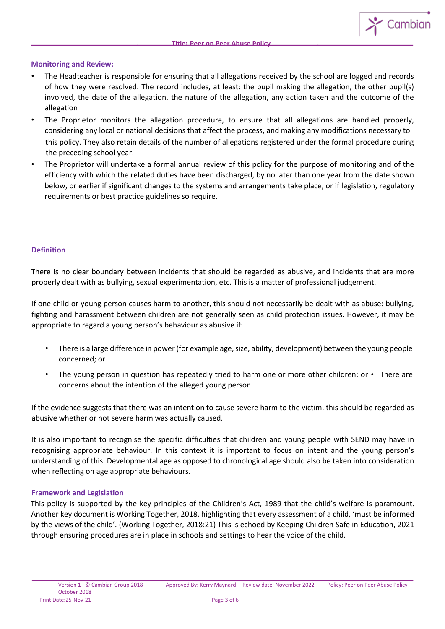#### **Monitoring and Review:**

- The Headteacher is responsible for ensuring that all allegations received by the school are logged and records of how they were resolved. The record includes, at least: the pupil making the allegation, the other pupil(s) involved, the date of the allegation, the nature of the allegation, any action taken and the outcome of the allegation
- The Proprietor monitors the allegation procedure, to ensure that all allegations are handled properly, considering any local or national decisions that affect the process, and making any modifications necessary to this policy. They also retain details of the number of allegations registered under the formal procedure during the preceding school year.
- The Proprietor will undertake a formal annual review of this policy for the purpose of monitoring and of the efficiency with which the related duties have been discharged, by no later than one year from the date shown below, or earlier if significant changes to the systems and arrangements take place, or if legislation, regulatory requirements or best practice guidelines so require.

#### **Definition**

There is no clear boundary between incidents that should be regarded as abusive, and incidents that are more properly dealt with as bullying, sexual experimentation, etc. This is a matter of professional judgement.

If one child or young person causes harm to another, this should not necessarily be dealt with as abuse: bullying, fighting and harassment between children are not generally seen as child protection issues. However, it may be appropriate to regard a young person's behaviour as abusive if:

- There is a large difference in power (for example age, size, ability, development) between the young people concerned; or
- The young person in question has repeatedly tried to harm one or more other children; or  $\cdot$  There are concerns about the intention of the alleged young person.

If the evidence suggests that there was an intention to cause severe harm to the victim, this should be regarded as abusive whether or not severe harm was actually caused.

It is also important to recognise the specific difficulties that children and young people with SEND may have in recognising appropriate behaviour. In this context it is important to focus on intent and the young person's understanding of this. Developmental age as opposed to chronological age should also be taken into consideration when reflecting on age appropriate behaviours.

#### **Framework and Legislation**

This policy is supported by the key principles of the Children's Act, 1989 that the child's welfare is paramount. Another key document is Working Together, 2018, highlighting that every assessment of a child, 'must be informed by the views of the child'. (Working Together, 2018:21) This is echoed by Keeping Children Safe in Education, 2021 through ensuring procedures are in place in schools and settings to hear the voice of the child.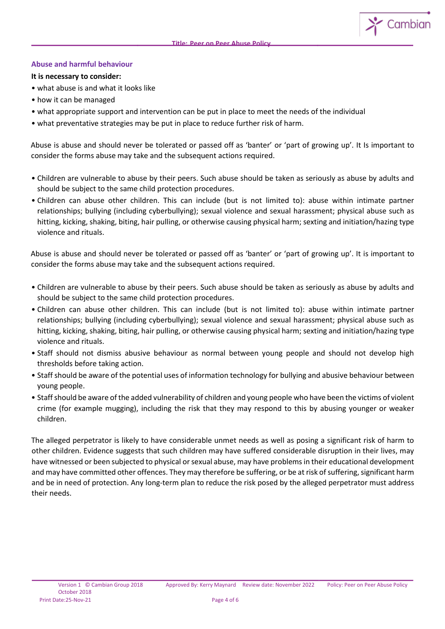#### **Abuse and harmful behaviour**

**It is necessary to consider:** 

- what abuse is and what it looks like
- how it can be managed
- what appropriate support and intervention can be put in place to meet the needs of the individual
- what preventative strategies may be put in place to reduce further risk of harm.

Abuse is abuse and should never be tolerated or passed off as 'banter' or 'part of growing up'. It Is important to consider the forms abuse may take and the subsequent actions required.

- Children are vulnerable to abuse by their peers. Such abuse should be taken as seriously as abuse by adults and should be subject to the same child protection procedures.
- Children can abuse other children. This can include (but is not limited to): abuse within intimate partner relationships; bullying (including cyberbullying); sexual violence and sexual harassment; physical abuse such as hitting, kicking, shaking, biting, hair pulling, or otherwise causing physical harm; sexting and initiation/hazing type violence and rituals.

Abuse is abuse and should never be tolerated or passed off as 'banter' or 'part of growing up'. It is important to consider the forms abuse may take and the subsequent actions required.

- Children are vulnerable to abuse by their peers. Such abuse should be taken as seriously as abuse by adults and should be subject to the same child protection procedures.
- Children can abuse other children. This can include (but is not limited to): abuse within intimate partner relationships; bullying (including cyberbullying); sexual violence and sexual harassment; physical abuse such as hitting, kicking, shaking, biting, hair pulling, or otherwise causing physical harm; sexting and initiation/hazing type violence and rituals.
- Staff should not dismiss abusive behaviour as normal between young people and should not develop high thresholds before taking action.
- Staff should be aware of the potential uses of information technology for bullying and abusive behaviour between young people.
- Staff should be aware of the added vulnerability of children and young people who have been the victims of violent crime (for example mugging), including the risk that they may respond to this by abusing younger or weaker children.

The alleged perpetrator is likely to have considerable unmet needs as well as posing a significant risk of harm to other children. Evidence suggests that such children may have suffered considerable disruption in their lives, may have witnessed or been subjected to physical or sexual abuse, may have problems in their educational development and may have committed other offences. They may therefore be suffering, or be at risk of suffering, significant harm and be in need of protection. Any long-term plan to reduce the risk posed by the alleged perpetrator must address their needs.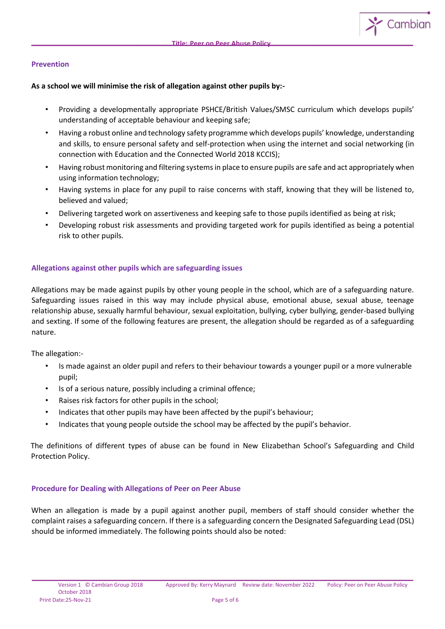$\sim$  Cambian

### **Prevention**

#### **As a school we will minimise the risk of allegation against other pupils by:-**

- Providing a developmentally appropriate PSHCE/British Values/SMSC curriculum which develops pupils' understanding of acceptable behaviour and keeping safe;
- Having a robust online and technology safety programme which develops pupils' knowledge, understanding and skills, to ensure personal safety and self-protection when using the internet and social networking (in connection with Education and the Connected World 2018 KCCIS);
- Having robust monitoring and filtering systems in place to ensure pupils are safe and act appropriately when using information technology;
- Having systems in place for any pupil to raise concerns with staff, knowing that they will be listened to, believed and valued;
- Delivering targeted work on assertiveness and keeping safe to those pupils identified as being at risk;
- Developing robust risk assessments and providing targeted work for pupils identified as being a potential risk to other pupils.

## **Allegations against other pupils which are safeguarding issues**

Allegations may be made against pupils by other young people in the school, which are of a safeguarding nature. Safeguarding issues raised in this way may include physical abuse, emotional abuse, sexual abuse, teenage relationship abuse, sexually harmful behaviour, sexual exploitation, bullying, cyber bullying, gender-based bullying and sexting. If some of the following features are present, the allegation should be regarded as of a safeguarding nature.

The allegation:-

- Is made against an older pupil and refers to their behaviour towards a younger pupil or a more vulnerable pupil;
- Is of a serious nature, possibly including a criminal offence;
- Raises risk factors for other pupils in the school;
- Indicates that other pupils may have been affected by the pupil's behaviour;
- Indicates that young people outside the school may be affected by the pupil's behavior.

The definitions of different types of abuse can be found in New Elizabethan School's Safeguarding and Child Protection Policy.

#### **Procedure for Dealing with Allegations of Peer on Peer Abuse**

When an allegation is made by a pupil against another pupil, members of staff should consider whether the complaint raises a safeguarding concern. If there is a safeguarding concern the Designated Safeguarding Lead (DSL) should be informed immediately. The following points should also be noted: